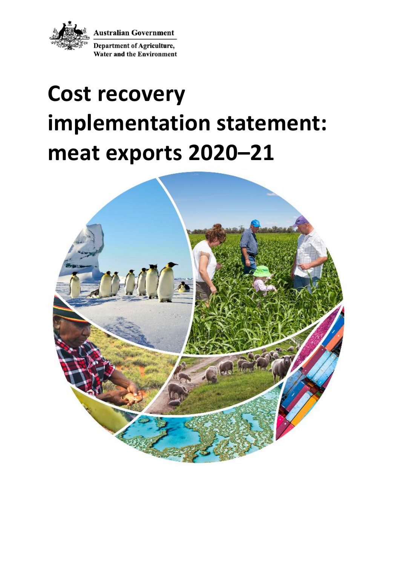

**Australian Government** 

**Department of Agriculture, Water and the Environment** 

# **Cost recovery implementation statement: meat exports 2020–21**

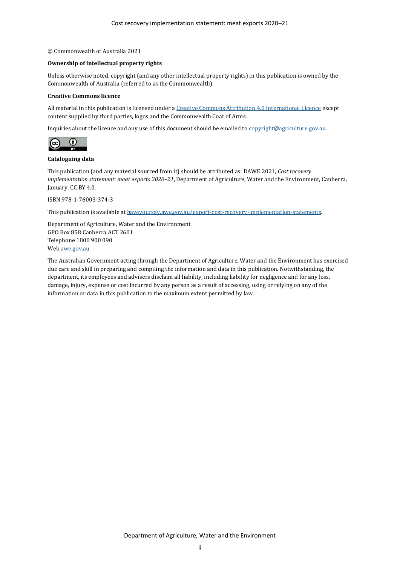#### © Commonwealth of Australia 2021

#### **Ownership of intellectual property rights**

Unless otherwise noted, copyright (and any other intellectual property rights) in this publication is owned by the Commonwealth of Australia (referred to as the Commonwealth).

#### **Creative Commons licence**

All material in this publication is licensed under [a Creative Commons Attribution 4.0 International Licence](https://creativecommons.org/licenses/by/4.0/legalcode) except content supplied by third parties, logos and the Commonwealth Coat of Arms.

Inquiries about the licence and any use of this document should be emailed t[o copyright@agriculture.gov.au.](mailto:copyright@agriculture.gov.au)



#### **Cataloguing data**

This publication (and any material sourced from it) should be attributed as: DAWE 2021, *Cost recovery implementation statement: meat exports 2020–21*, Department of Agriculture, Water and the Environment, Canberra, January. CC BY 4.0.

ISBN 978-1-76003-374-3

This publication is available a[t haveyoursay.awe.gov.au/export-cost-recovery-implementation-statements.](https://haveyoursay.awe.gov.au/export-cost-recovery-implementation-statements)

Department of Agriculture, Water and the Environment GPO Box 858 Canberra ACT 2601 Telephone 1800 900 090 We[b awe.gov.au](https://www.awe.gov.au/)

The Australian Government acting through the Department of Agriculture, Water and the Environment has exercised due care and skill in preparing and compiling the information and data in this publication. Notwithstanding, the department, its employees and advisers disclaim all liability, including liability for negligence and for any loss, damage, injury, expense or cost incurred by any person as a result of accessing, using or relying on any of the information or data in this publication to the maximum extent permitted by law.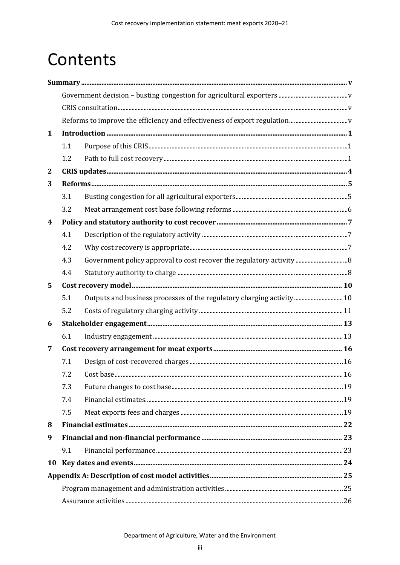# Contents

| $\mathbf{1}$     |     |                                                                       |  |
|------------------|-----|-----------------------------------------------------------------------|--|
|                  | 1.1 |                                                                       |  |
|                  | 1.2 |                                                                       |  |
| $\mathbf{2}$     |     |                                                                       |  |
| 3                |     |                                                                       |  |
|                  | 3.1 |                                                                       |  |
|                  | 3.2 |                                                                       |  |
| $\boldsymbol{4}$ |     |                                                                       |  |
|                  | 4.1 |                                                                       |  |
|                  | 4.2 |                                                                       |  |
|                  | 4.3 |                                                                       |  |
|                  | 4.4 |                                                                       |  |
| 5                |     |                                                                       |  |
|                  | 5.1 | Outputs and business processes of the regulatory charging activity 10 |  |
|                  | 5.2 |                                                                       |  |
| 6                |     |                                                                       |  |
|                  | 6.1 |                                                                       |  |
| 7                |     |                                                                       |  |
|                  | 7.1 |                                                                       |  |
|                  | 7.2 |                                                                       |  |
|                  | 7.3 |                                                                       |  |
|                  | 7.4 |                                                                       |  |
|                  | 7.5 |                                                                       |  |
| 8                |     |                                                                       |  |
| 9                |     |                                                                       |  |
|                  | 9.1 |                                                                       |  |
| 10               |     |                                                                       |  |
|                  |     |                                                                       |  |
|                  |     |                                                                       |  |
|                  |     |                                                                       |  |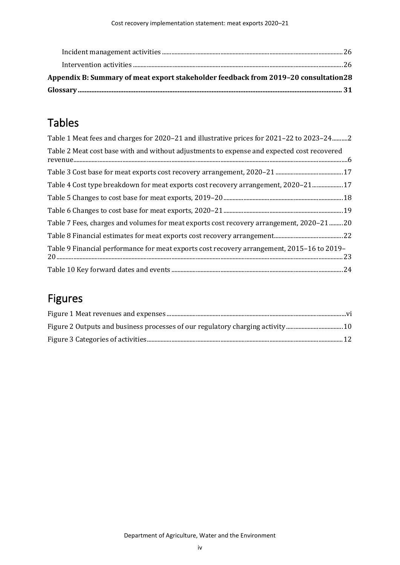| Appendix B: Summary of meat export stakeholder feedback from 2019–20 consultation 28 |  |
|--------------------------------------------------------------------------------------|--|
|                                                                                      |  |
|                                                                                      |  |

# Tables

| Table 1 Meat fees and charges for 2020–21 and illustrative prices for 2021–22 to 2023–242  |
|--------------------------------------------------------------------------------------------|
| Table 2 Meat cost base with and without adjustments to expense and expected cost recovered |
|                                                                                            |
| Table 4 Cost type breakdown for meat exports cost recovery arrangement, 2020-21 17         |
|                                                                                            |
|                                                                                            |
| Table 7 Fees, charges and volumes for meat exports cost recovery arrangement, 2020–21  20  |
|                                                                                            |
| Table 9 Financial performance for meat exports cost recovery arrangement, 2015–16 to 2019– |
|                                                                                            |

# Figures

| Figure 2 Outputs and business processes of our regulatory charging activity 10 |  |
|--------------------------------------------------------------------------------|--|
|                                                                                |  |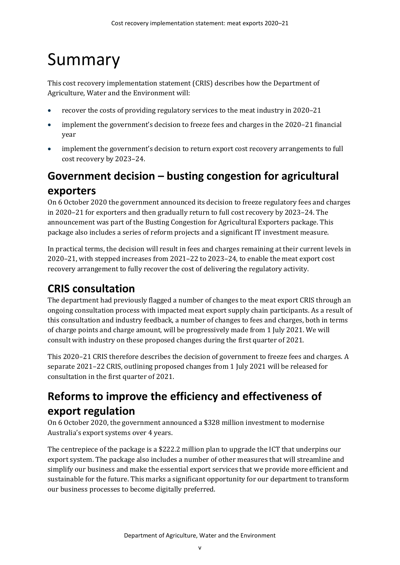# <span id="page-4-0"></span>Summary

This cost recovery implementation statement (CRIS) describes how the Department of Agriculture, Water and the Environment will:

- recover the costs of providing regulatory services to the meat industry in 2020–21
- implement the government's decision to freeze fees and charges in the 2020–21 financial year
- implement the government's decision to return export cost recovery arrangements to full cost recovery by 2023–24.

# <span id="page-4-1"></span>**Government decision – busting congestion for agricultural exporters**

On 6 October 2020 the government announced its decision to freeze regulatory fees and charges in 2020–21 for exporters and then gradually return to full cost recovery by 2023–24. The announcement was part of the Busting Congestion for Agricultural Exporters package. This package also includes a series of reform projects and a significant IT investment measure.

In practical terms, the decision will result in fees and charges remaining at their current levels in 2020–21, with stepped increases from 2021–22 to 2023–24, to enable the meat export cost recovery arrangement to fully recover the cost of delivering the regulatory activity.

# <span id="page-4-2"></span>**CRIS consultation**

The department had previously flagged a number of changes to the meat export CRIS through an ongoing consultation process with impacted meat export supply chain participants. As a result of this consultation and industry feedback, a number of changes to fees and charges, both in terms of charge points and charge amount, will be progressively made from 1 July 2021. We will consult with industry on these proposed changes during the first quarter of 2021.

This 2020–21 CRIS therefore describes the decision of government to freeze fees and charges. A separate 2021–22 CRIS, outlining proposed changes from 1 July 2021 will be released for consultation in the first quarter of 2021.

# <span id="page-4-3"></span>**Reforms to improve the efficiency and effectiveness of export regulation**

On 6 October 2020, the government announced a \$328 million investment to modernise Australia's export systems over 4 years.

The centrepiece of the package is a \$222.2 million plan to upgrade the ICT that underpins our export system. The package also includes a number of other measures that will streamline and simplify our business and make the essential export services that we provide more efficient and sustainable for the future. This marks a significant opportunity for our department to transform our business processes to become digitally preferred.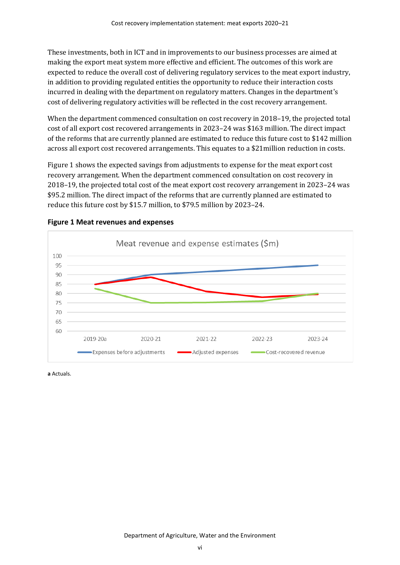These investments, both in ICT and in improvements to our business processes are aimed at making the export meat system more effective and efficient. The outcomes of this work are expected to reduce the overall cost of delivering regulatory services to the meat export industry, in addition to providing regulated entities the opportunity to reduce their interaction costs incurred in dealing with the department on regulatory matters. Changes in the department's cost of delivering regulatory activities will be reflected in the cost recovery arrangement.

When the department commenced consultation on cost recovery in 2018–19, the projected total cost of all export cost recovered arrangements in 2023–24 was \$163 million. The direct impact of the reforms that are currently planned are estimated to reduce this future cost to \$142 million across all export cost recovered arrangements. This equates to a \$21million reduction in costs.

[Figure 1](#page-5-0) shows the expected savings from adjustments to expense for the meat export cost recovery arrangement. When the department commenced consultation on cost recovery in 2018–19, the projected total cost of the meat export cost recovery arrangement in 2023–24 was \$95.2 million. The direct impact of the reforms that are currently planned are estimated to reduce this future cost by \$15.7 million, to \$79.5 million by 2023–24.



<span id="page-5-0"></span>

**a** Actuals.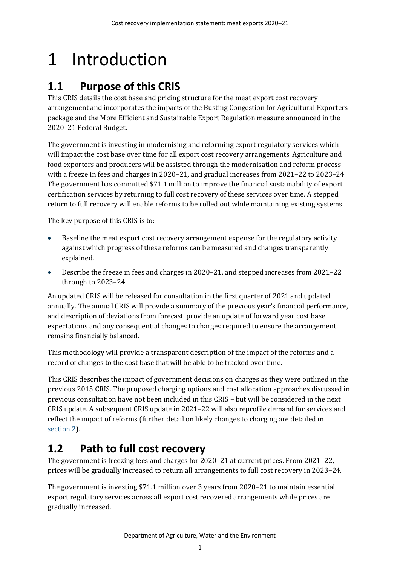# <span id="page-6-0"></span>1 Introduction

# <span id="page-6-1"></span>**1.1 Purpose of this CRIS**

This CRIS details the cost base and pricing structure for the meat export cost recovery arrangement and incorporates the impacts of the Busting Congestion for Agricultural Exporters package and the More Efficient and Sustainable Export Regulation measure announced in the 2020–21 Federal Budget.

The government is investing in modernising and reforming export regulatory services which will impact the cost base over time for all export cost recovery arrangements. Agriculture and food exporters and producers will be assisted through the modernisation and reform process with a freeze in fees and charges in 2020–21, and gradual increases from 2021–22 to 2023–24. The government has committed \$71.1 million to improve the financial sustainability of export certification services by returning to full cost recovery of these services over time. A stepped return to full recovery will enable reforms to be rolled out while maintaining existing systems.

The key purpose of this CRIS is to:

- Baseline the meat export cost recovery arrangement expense for the regulatory activity against which progress of these reforms can be measured and changes transparently explained.
- Describe the freeze in fees and charges in 2020–21, and stepped increases from 2021–22 through to 2023–24.

An updated CRIS will be released for consultation in the first quarter of 2021 and updated annually. The annual CRIS will provide a summary of the previous year's financial performance, and description of deviations from forecast, provide an update of forward year cost base expectations and any consequential changes to charges required to ensure the arrangement remains financially balanced.

This methodology will provide a transparent description of the impact of the reforms and a record of changes to the cost base that will be able to be tracked over time.

This CRIS describes the impact of government decisions on charges as they were outlined in the previous 2015 CRIS. The proposed charging options and cost allocation approaches discussed in previous consultation have not been included in this CRIS – but will be considered in the next CRIS update. A subsequent CRIS update in 2021–22 will also reprofile demand for services and reflect the impact of reforms (further detail on likely changes to charging are detailed in [section](#page-9-0) 2).

## <span id="page-6-2"></span>**1.2 Path to full cost recovery**

The government is freezing fees and charges for 2020–21 at current prices. From 2021–22, prices will be gradually increased to return all arrangements to full cost recovery in 2023–24.

The government is investing \$71.1 million over 3 years from 2020–21 to maintain essential export regulatory services across all export cost recovered arrangements while prices are gradually increased.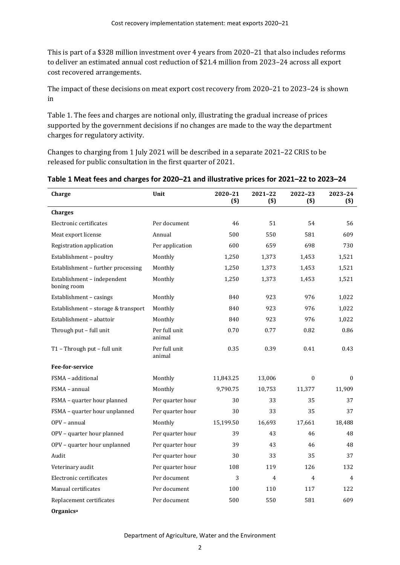This is part of a \$328 million investment over 4 years from 2020–21 that also includes reforms to deliver an estimated annual cost reduction of \$21.4 million from 2023–24 across all export cost recovered arrangements.

The impact of these decisions on meat export cost recovery from 2020–21 to 2023–24 is shown i[n](#page-7-1)

[Table 1.](#page-7-1) The fees and charges are notional only, illustrating the gradual increase of prices supported by the government decisions if no changes are made to the way the department charges for regulatory activity.

<span id="page-7-1"></span>Changes to charging from 1 July 2021 will be described in a separate 2021–22 CRIS to be released for public consultation in the first quarter of 2021.

| Charge                                     | Unit                    | 2020-21<br>$($ \$) | 2021-22<br>$($ \$) | 2022-23<br>$($ \$) | 2023-24<br>$($)$ |
|--------------------------------------------|-------------------------|--------------------|--------------------|--------------------|------------------|
| <b>Charges</b>                             |                         |                    |                    |                    |                  |
| Electronic certificates                    | Per document            | 46                 | 51                 | 54                 | 56               |
| Meat export license                        | Annual                  | 500                | 550                | 581                | 609              |
| Registration application                   | Per application         | 600                | 659                | 698                | 730              |
| Establishment - poultry                    | Monthly                 | 1,250              | 1,373              | 1,453              | 1,521            |
| Establishment - further processing         | Monthly                 | 1,250              | 1,373              | 1,453              | 1,521            |
| Establishment - independent<br>boning room | Monthly                 | 1,250              | 1,373              | 1,453              | 1,521            |
| Establishment - casings                    | Monthly                 | 840                | 923                | 976                | 1,022            |
| Establishment - storage & transport        | Monthly                 | 840                | 923                | 976                | 1,022            |
| Establishment - abattoir                   | Monthly                 | 840                | 923                | 976                | 1,022            |
| Through put - full unit                    | Per full unit<br>animal | 0.70               | 0.77               | 0.82               | 0.86             |
| T1 - Through put - full unit               | Per full unit<br>animal | 0.35               | 0.39               | 0.41               | 0.43             |
| Fee-for-service                            |                         |                    |                    |                    |                  |
| FSMA - additional                          | Monthly                 | 11,843.25          | 13,006             | $\Omega$           | $\Omega$         |
| FSMA - annual                              | Monthly                 | 9,790.75           | 10,753             | 11,377             | 11,909           |
| FSMA - quarter hour planned                | Per quarter hour        | 30                 | 33                 | 35                 | 37               |
| FSMA - quarter hour unplanned              | Per quarter hour        | 30                 | 33                 | 35                 | 37               |
| OPV - annual                               | Monthly                 | 15,199.50          | 16,693             | 17,661             | 18,488           |
| OPV - quarter hour planned                 | Per quarter hour        | 39                 | 43                 | 46                 | 48               |
| OPV - quarter hour unplanned               | Per quarter hour        | 39                 | 43                 | 46                 | 48               |
| Audit                                      | Per quarter hour        | 30                 | 33                 | 35                 | 37               |
| Veterinary audit                           | Per quarter hour        | 108                | 119                | 126                | 132              |
| Electronic certificates                    | Per document            | 3                  | 4                  | 4                  | $\overline{4}$   |
| Manual certificates                        | Per document            | 100                | 110                | 117                | 122              |
| Replacement certificates                   | Per document            | 500                | 550                | 581                | 609              |
| Organics <sup>a</sup>                      |                         |                    |                    |                    |                  |

<span id="page-7-0"></span>**Table 1 Meat fees and charges for 2020–21 and illustrative prices for 2021–22 to 2023–24**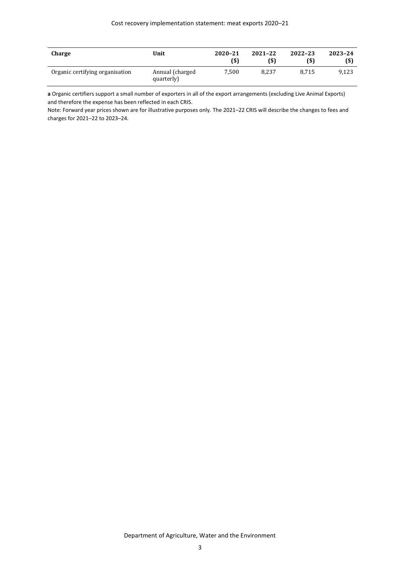| Charge                          | Unit                           | 2020-21<br>(\$) | 2021-22<br>(\$) | 2022-23<br>(\$) | 2023-24<br>$($ \$ |
|---------------------------------|--------------------------------|-----------------|-----------------|-----------------|-------------------|
| Organic certifying organisation | Annual (charged)<br>quarterly) | 7.500           | 8.237           | 8.715           | 9.123             |

**a** Organic certifiers support a small number of exporters in all of the export arrangements (excluding Live Animal Exports) and therefore the expense has been reflected in each CRIS.

Note: Forward year prices shown are for illustrative purposes only. The 2021–22 CRIS will describe the changes to fees and charges for 2021–22 to 2023–24.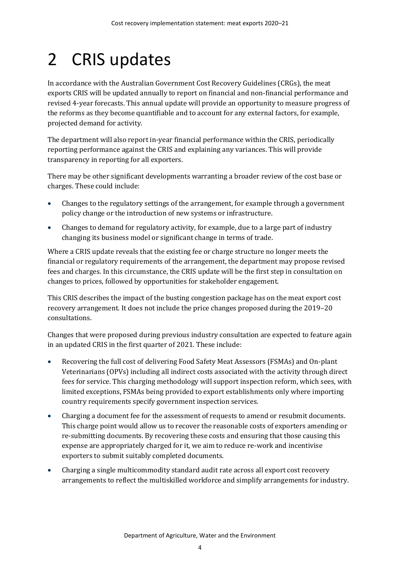# <span id="page-9-0"></span>2 CRIS updates

In accordance with the Australian Government Cost Recovery Guidelines (CRGs), the meat exports CRIS will be updated annually to report on financial and non-financial performance and revised 4-year forecasts. This annual update will provide an opportunity to measure progress of the reforms as they become quantifiable and to account for any external factors, for example, projected demand for activity.

The department will also report in-year financial performance within the CRIS, periodically reporting performance against the CRIS and explaining any variances. This will provide transparency in reporting for all exporters.

There may be other significant developments warranting a broader review of the cost base or charges. These could include:

- Changes to the regulatory settings of the arrangement, for example through a government policy change or the introduction of new systems or infrastructure.
- Changes to demand for regulatory activity, for example, due to a large part of industry changing its business model or significant change in terms of trade.

Where a CRIS update reveals that the existing fee or charge structure no longer meets the financial or regulatory requirements of the arrangement, the department may propose revised fees and charges. In this circumstance, the CRIS update will be the first step in consultation on changes to prices, followed by opportunities for stakeholder engagement.

This CRIS describes the impact of the busting congestion package has on the meat export cost recovery arrangement. It does not include the price changes proposed during the 2019–20 consultations.

Changes that were proposed during previous industry consultation are expected to feature again in an updated CRIS in the first quarter of 2021. These include:

- Recovering the full cost of delivering Food Safety Meat Assessors (FSMAs) and On-plant Veterinarians (OPVs) including all indirect costs associated with the activity through direct fees for service. This charging methodology will support inspection reform, which sees, with limited exceptions, FSMAs being provided to export establishments only where importing country requirements specify government inspection services.
- Charging a document fee for the assessment of requests to amend or resubmit documents. This charge point would allow us to recover the reasonable costs of exporters amending or re-submitting documents. By recovering these costs and ensuring that those causing this expense are appropriately charged for it, we aim to reduce re-work and incentivise exporters to submit suitably completed documents.
- Charging a single multicommodity standard audit rate across all export cost recovery arrangements to reflect the multiskilled workforce and simplify arrangements for industry.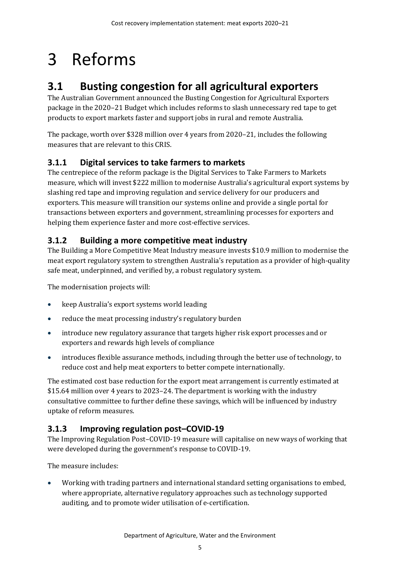# <span id="page-10-0"></span>3 Reforms

# <span id="page-10-1"></span>**3.1 Busting congestion for all agricultural exporters**

The Australian Government announced the Busting Congestion for Agricultural Exporters package in the 2020–21 Budget which includes reforms to slash unnecessary red tape to get products to export markets faster and support jobs in rural and remote Australia.

The package, worth over \$328 million over 4 years from 2020–21, includes the following measures that are relevant to this CRIS.

### **3.1.1 Digital services to take farmers to markets**

The centrepiece of the reform package is the Digital Services to Take Farmers to Markets measure, which will invest \$222 million to modernise Australia's agricultural export systems by slashing red tape and improving regulation and service delivery for our producers and exporters. This measure will transition our systems online and provide a single portal for transactions between exporters and government, streamlining processes for exporters and helping them experience faster and more cost-effective services.

### **3.1.2 Building a more competitive meat industry**

The Building a More Competitive Meat Industry measure invests \$10.9 million to modernise the meat export regulatory system to strengthen Australia's reputation as a provider of high-quality safe meat, underpinned, and verified by, a robust regulatory system.

The modernisation projects will:

- keep Australia's export systems world leading
- reduce the meat processing industry's regulatory burden
- introduce new regulatory assurance that targets higher risk export processes and or exporters and rewards high levels of compliance
- introduces flexible assurance methods, including through the better use of technology, to reduce cost and help meat exporters to better compete internationally.

The estimated cost base reduction for the export meat arrangement is currently estimated at \$15.64 million over 4 years to 2023–24. The department is working with the industry consultative committee to further define these savings, which will be influenced by industry uptake of reform measures.

### **3.1.3 Improving regulation post–COVID-19**

The Improving Regulation Post–COVID-19 measure will capitalise on new ways of working that were developed during the government's response to COVID-19.

The measure includes:

• Working with trading partners and international standard setting organisations to embed, where appropriate, alternative regulatory approaches such as technology supported auditing, and to promote wider utilisation of e-certification.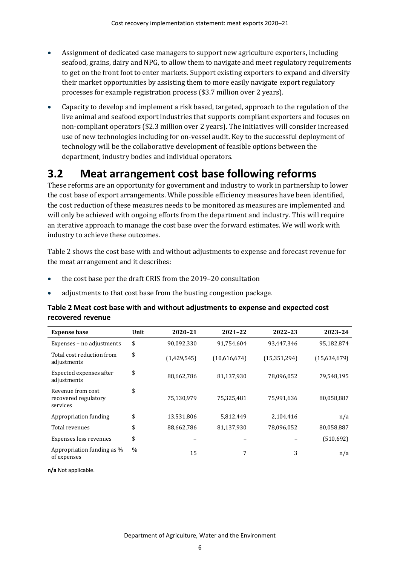- Assignment of dedicated case managers to support new agriculture exporters, including seafood, grains, dairy and NPG, to allow them to navigate and meet regulatory requirements to get on the front foot to enter markets. Support existing exporters to expand and diversify their market opportunities by assisting them to more easily navigate export regulatory processes for example registration process (\$3.7 million over 2 years).
- Capacity to develop and implement a risk based, targeted, approach to the regulation of the live animal and seafood export industries that supports compliant exporters and focuses on non-compliant operators (\$2.3 million over 2 years). The initiatives will consider increased use of new technologies including for on-vessel audit. Key to the successful deployment of technology will be the collaborative development of feasible options between the department, industry bodies and individual operators.

## <span id="page-11-0"></span>**3.2 Meat arrangement cost base following reforms**

These reforms are an opportunity for government and industry to work in partnership to lower the cost base of export arrangements. While possible efficiency measures have been identified, the cost reduction of these measures needs to be monitored as measures are implemented and will only be achieved with ongoing efforts from the department and industry. This will require an iterative approach to manage the cost base over the forward estimates. We will work with industry to achieve these outcomes.

[Table 2](#page-11-1) shows the cost base with and without adjustments to expense and forecast revenue for the meat arrangement and it describes:

- the cost base per the draft CRIS from the 2019–20 consultation
- adjustments to that cost base from the busting congestion package.

#### <span id="page-11-1"></span>**Table 2 Meat cost base with and without adjustments to expense and expected cost recovered revenue**

| <b>Expense base</b>                                   | Unit | 2020-21     | 2021-22      | 2022-23        | 2023-24      |
|-------------------------------------------------------|------|-------------|--------------|----------------|--------------|
| Expenses - no adjustments                             | \$   | 90,092,330  | 91,754,604   | 93,447,346     | 95,182,874   |
| Total cost reduction from<br>adjustments              | \$   | (1,429,545) | (10,616,674) | (15, 351, 294) | (15,634,679) |
| Expected expenses after<br>adjustments                | \$   | 88,662,786  | 81,137,930   | 78,096,052     | 79,548,195   |
| Revenue from cost<br>recovered regulatory<br>services | \$   | 75,130,979  | 75,325,481   | 75,991,636     | 80,058,887   |
| Appropriation funding                                 | \$   | 13,531,806  | 5,812,449    | 2.104.416      | n/a          |
| Total revenues                                        | \$   | 88,662,786  | 81,137,930   | 78,096,052     | 80,058,887   |
| Expenses less revenues                                | \$   |             |              |                | (510,692)    |
| Appropriation funding as %<br>of expenses             | $\%$ | 15          | 7            | 3              | n/a          |

**n/a** Not applicable.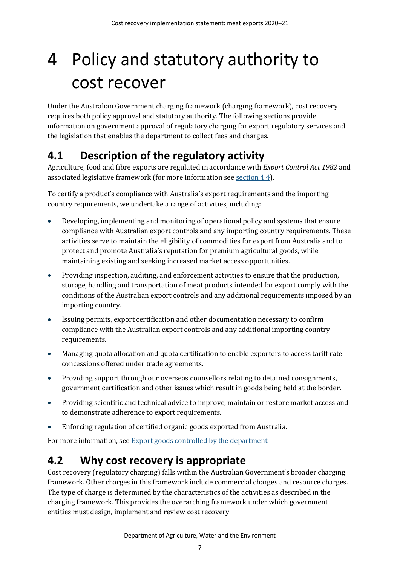# <span id="page-12-0"></span>4 Policy and statutory authority to cost recover

Under the Australian Government charging framework (charging framework), cost recovery requires both policy approval and statutory authority. The following sections provide information on government approval of regulatory charging for export regulatory services and the legislation that enables the department to collect fees and charges.

# <span id="page-12-1"></span>**4.1 Description of the regulatory activity**

Agriculture, food and fibre exports are regulated in accordance with *Export Control Act 1982* and associated legislative framework (for more information see [section 4.4\)](#page-13-1).

To certify a product's compliance with Australia's export requirements and the importing country requirements, we undertake a range of activities, including:

- Developing, implementing and monitoring of operational policy and systems that ensure compliance with Australian export controls and any importing country requirements. These activities serve to maintain the eligibility of commodities for export from Australia and to protect and promote Australia's reputation for premium agricultural goods, while maintaining existing and seeking increased market access opportunities.
- Providing inspection, auditing, and enforcement activities to ensure that the production, storage, handling and transportation of meat products intended for export comply with the conditions of the Australian export controls and any additional requirements imposed by an importing country.
- Issuing permits, export certification and other documentation necessary to confirm compliance with the Australian export controls and any additional importing country requirements.
- Managing quota allocation and quota certification to enable exporters to access tariff rate concessions offered under trade agreements.
- Providing support through our overseas counsellors relating to detained consignments, government certification and other issues which result in goods being held at the border.
- Providing scientific and technical advice to improve, maintain or restore market access and to demonstrate adherence to export requirements.
- Enforcing regulation of certified organic goods exported from Australia.

For more information, se[e Export goods controlled by the department.](https://www.agriculture.gov.au/export/controlled-goods)

## <span id="page-12-2"></span>**4.2 Why cost recovery is appropriate**

Cost recovery (regulatory charging) falls within the Australian Government's broader charging framework. Other charges in this framework include commercial charges and resource charges. The type of charge is determined by the characteristics of the activities as described in the charging framework. This provides the overarching framework under which government entities must design, implement and review cost recovery.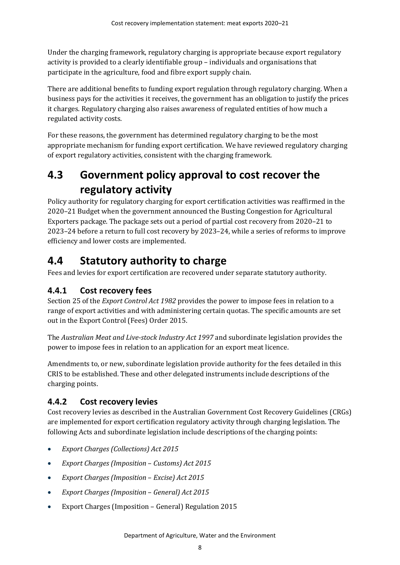Under the charging framework, regulatory charging is appropriate because export regulatory activity is provided to a clearly identifiable group – individuals and organisations that participate in the agriculture, food and fibre export supply chain.

There are additional benefits to funding export regulation through regulatory charging. When a business pays for the activities it receives, the government has an obligation to justify the prices it charges. Regulatory charging also raises awareness of regulated entities of how much a regulated activity costs.

For these reasons, the government has determined regulatory charging to be the most appropriate mechanism for funding export certification. We have reviewed regulatory charging of export regulatory activities, consistent with the charging framework.

# <span id="page-13-0"></span>**4.3 Government policy approval to cost recover the regulatory activity**

Policy authority for regulatory charging for export certification activities was reaffirmed in the 2020–21 Budget when the government announced the Busting Congestion for Agricultural Exporters package. The package sets out a period of partial cost recovery from 2020–21 to 2023–24 before a return to full cost recovery by 2023–24, while a series of reforms to improve efficiency and lower costs are implemented.

## <span id="page-13-1"></span>**4.4 Statutory authority to charge**

Fees and levies for export certification are recovered under separate statutory authority.

### **4.4.1 Cost recovery fees**

Section 25 of the *Export Control Act 1982* provides the power to impose fees in relation to a range of export activities and with administering certain quotas. The specific amounts are set out in the Export Control (Fees) Order 2015.

The *Australian Meat and Live-stock Industry Act 1997* and subordinate legislation provides the power to impose fees in relation to an application for an export meat licence.

Amendments to, or new, subordinate legislation provide authority for the fees detailed in this CRIS to be established. These and other delegated instruments include descriptions of the charging points.

### **4.4.2 Cost recovery levies**

Cost recovery levies as described in the Australian Government Cost Recovery Guidelines (CRGs) are implemented for export certification regulatory activity through charging legislation. The following Acts and subordinate legislation include descriptions of the charging points:

- *Export Charges (Collections) Act 2015*
- *Export Charges (Imposition Customs) Act 2015*
- *Export Charges (Imposition Excise) Act 2015*
- *Export Charges (Imposition General) Act 2015*
- Export Charges (Imposition General) Regulation 2015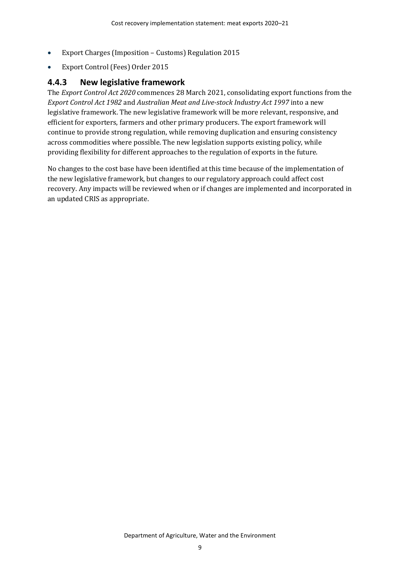- Export Charges (Imposition Customs) Regulation 2015
- Export Control (Fees) Order 2015

#### **4.4.3 New legislative framework**

The *Export Control Act 2020* commences 28 March 2021, consolidating export functions from the *Export Control Act 1982* and *Australian Meat and Live-stock Industry Act 1997* into a new legislative framework. The new legislative framework will be more relevant, responsive, and efficient for exporters, farmers and other primary producers. The export framework will continue to provide strong regulation, while removing duplication and ensuring consistency across commodities where possible. The new legislation supports existing policy, while providing flexibility for different approaches to the regulation of exports in the future.

No changes to the cost base have been identified at this time because of the implementation of the new legislative framework, but changes to our regulatory approach could affect cost recovery. Any impacts will be reviewed when or if changes are implemented and incorporated in an updated CRIS as appropriate.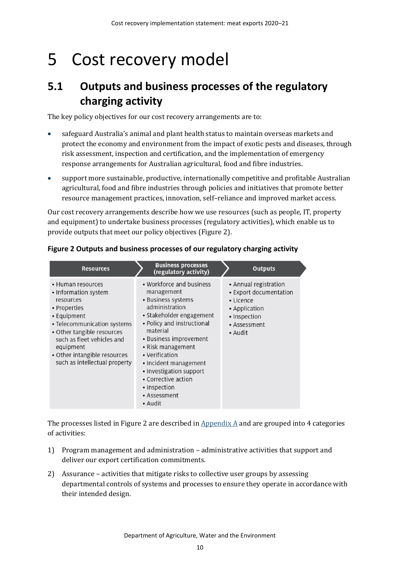# <span id="page-15-0"></span>5 Cost recovery model

## <span id="page-15-1"></span>**5.1 Outputs and business processes of the regulatory charging activity**

The key policy objectives for our cost recovery arrangements are to:

- safeguard Australia's animal and plant health status to maintain overseas markets and protect the economy and environment from the impact of exotic pests and diseases, through risk assessment, inspection and certification, and the implementation of emergency response arrangements for Australian agricultural, food and fibre industries.
- support more sustainable, productive, internationally competitive and profitable Australian agricultural, food and fibre industries through policies and initiatives that promote better resource management practices, innovation, self–reliance and improved market access.

Our cost recovery arrangements describe how we use resources (such as people, IT, property and equipment) to undertake business processes (regulatory activities), which enable us to provide outputs that meet our policy objectives [\(Figure 2\)](#page-15-2).

| <b>Resources</b>                                                                                                                                                                                                                                               | <b>Business processes</b><br>(regulatory activity)                                                                                                                                                                                                                                                                                          | <b>Outputs</b>                                                                                                           |
|----------------------------------------------------------------------------------------------------------------------------------------------------------------------------------------------------------------------------------------------------------------|---------------------------------------------------------------------------------------------------------------------------------------------------------------------------------------------------------------------------------------------------------------------------------------------------------------------------------------------|--------------------------------------------------------------------------------------------------------------------------|
| • Human resources<br>• Information system<br>resources<br>• Properties<br>• Equipment<br>• Telecommunication systems<br>• Other tangible resources<br>such as fleet vehicles and<br>equipment<br>• Other intangible resources<br>such as intellectual property | • Workforce and business<br>management<br>• Business systems<br>administration<br>• Stakeholder engagement<br>• Policy and instructional<br>material<br>• Business improvement<br>• Risk management<br>• Verification<br>· Incident management<br>• Investigation support<br>• Corrective action<br>• Inspection<br>• Assessment<br>• Audit | • Annual registration<br>• Export documentation<br>• Licence<br>• Application<br>· Inspection<br>• Assessment<br>• Audit |

#### <span id="page-15-2"></span>**Figure 2 Outputs and business processes of our regulatory charging activity**

The processes listed in [Figure 2](#page-15-2) are described in  $\Delta$  Appendix  $\Delta$  and are grouped into 4 categories of activities:

- 1) Program management and administration administrative activities that support and deliver our export certification commitments.
- 2) Assurance activities that mitigate risks to collective user groups by assessing departmental controls of systems and processes to ensure they operate in accordance with their intended design.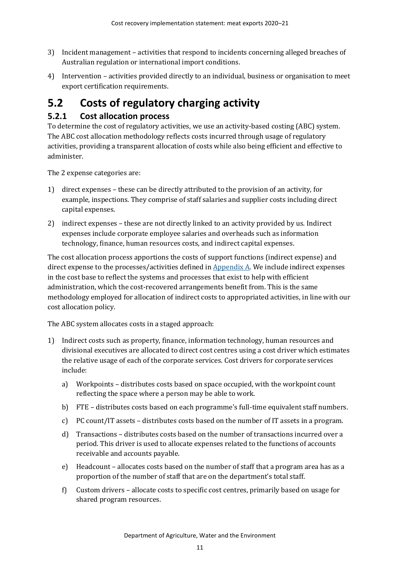- 3) Incident management activities that respond to incidents concerning alleged breaches of Australian regulation or international import conditions.
- 4) Intervention activities provided directly to an individual, business or organisation to meet export certification requirements.

# <span id="page-16-0"></span>**5.2 Costs of regulatory charging activity**

### **5.2.1 Cost allocation process**

To determine the cost of regulatory activities, we use an activity-based costing (ABC) system. The ABC cost allocation methodology reflects costs incurred through usage of regulatory activities, providing a transparent allocation of costs while also being efficient and effective to administer.

The 2 expense categories are:

- 1) direct expenses these can be directly attributed to the provision of an activity, for example, inspections. They comprise of staff salaries and supplier costs including direct capital expenses.
- 2) indirect expenses these are not directly linked to an activity provided by us. Indirect expenses include corporate employee salaries and overheads such as information technology, finance, human resources costs, and indirect capital expenses.

The cost allocation process apportions the costs of support functions (indirect expense) and direct expense to the processes/activities defined in  $Appendix A$ . We include indirect expenses in the cost base to reflect the systems and processes that exist to help with efficient administration, which the cost-recovered arrangements benefit from. This is the same methodology employed for allocation of indirect costs to appropriated activities, in line with our cost allocation policy.

The ABC system allocates costs in a staged approach:

- 1) Indirect costs such as property, finance, information technology, human resources and divisional executives are allocated to direct cost centres using a cost driver which estimates the relative usage of each of the corporate services. Cost drivers for corporate services include:
	- a) Workpoints distributes costs based on space occupied, with the workpoint count reflecting the space where a person may be able to work.
	- b) FTE distributes costs based on each programme's full-time equivalent staff numbers.
	- c) PC count/IT assets distributes costs based on the number of IT assets in a program.
	- d) Transactions distributes costs based on the number of transactions incurred over a period. This driver is used to allocate expenses related to the functions of accounts receivable and accounts payable.
	- e) Headcount allocates costs based on the number of staff that a program area has as a proportion of the number of staff that are on the department's total staff.
	- f) Custom drivers allocate costs to specific cost centres, primarily based on usage for shared program resources.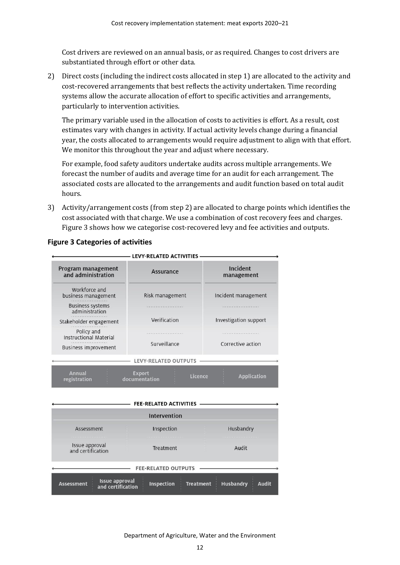Cost drivers are reviewed on an annual basis, or as required. Changes to cost drivers are substantiated through effort or other data.

2) Direct costs (including the indirect costs allocated in step 1) are allocated to the activity and cost-recovered arrangements that best reflects the activity undertaken. Time recording systems allow the accurate allocation of effort to specific activities and arrangements, particularly to intervention activities.

The primary variable used in the allocation of costs to activities is effort. As a result, cost estimates vary with changes in activity. If actual activity levels change during a financial year, the costs allocated to arrangements would require adjustment to align with that effort. We monitor this throughout the year and adjust where necessary.

For example, food safety auditors undertake audits across multiple arrangements. We forecast the number of audits and average time for an audit for each arrangement. The associated costs are allocated to the arrangements and audit function based on total audit hours.

3) Activity/arrangement costs (from step 2) are allocated to charge points which identifies the cost associated with that charge. We use a combination of cost recovery fees and charges. [Figure 3](#page-17-0) shows how we categorise cost-recovered levy and fee activities and outputs.

|                                             | LEVY-RELATED ACTIVITIES                   |                             |
|---------------------------------------------|-------------------------------------------|-----------------------------|
| Program management<br>and administration    | <b>Assurance</b>                          | Incident<br>management      |
| Workforce and<br>business management        | Risk management                           | Incident management         |
| <b>Business systems</b><br>administration   |                                           |                             |
| Stakeholder engagement                      | Verification                              | Investigation support       |
| Policy and<br><b>Instructional Material</b> |                                           |                             |
| <b>Business improvement</b>                 | Surveillance                              | Corrective action           |
|                                             | <b>LEVY-RELATED OUTPUTS</b>               |                             |
| <b>Annual</b><br>registration               | <b>Export</b><br>Licence<br>documentation | <b>Application</b>          |
|                                             | <b>FEE-RELATED ACTIVITIES</b>             |                             |
|                                             | <b>Intervention</b>                       |                             |
|                                             | and the control of the control of the     | <b>REPORT CONTROLLED BY</b> |

#### <span id="page-17-0"></span>**Figure 3 Categories of activities**

|                                                          | Intervention               |                                                      |
|----------------------------------------------------------|----------------------------|------------------------------------------------------|
| Assessment                                               | Inspection                 | Husbandry                                            |
| Issue approval<br>and certification                      | Treatment                  | Audit                                                |
|                                                          | <b>FEE-RELATED OUTPUTS</b> |                                                      |
| Issue approval<br>and certification<br><b>Assessment</b> | Inspection                 | <b>Husbandry</b><br><b>Treatment</b><br><b>Audit</b> |

Department of Agriculture, Water and the Environment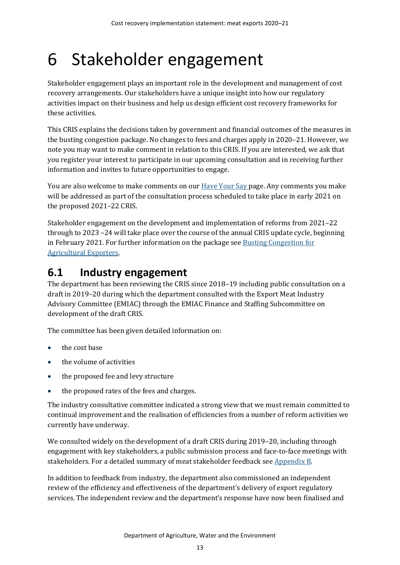# <span id="page-18-0"></span>6 Stakeholder engagement

Stakeholder engagement plays an important role in the development and management of cost recovery arrangements. Our stakeholders have a unique insight into how our regulatory activities impact on their business and help us design efficient cost recovery frameworks for these activities.

This CRIS explains the decisions taken by government and financial outcomes of the measures in the busting congestion package. No changes to fees and charges apply in 2020–21. However, we note you may want to make comment in relation to this CRIS. If you are interested, we ask that you register your interest to participate in our upcoming consultation and in receiving further information and invites to future opportunities to engage.

You are also welcome to make comments on our **Have Your Say page. Any comments you make** will be addressed as part of the consultation process scheduled to take place in early 2021 on the proposed 2021–22 CRIS.

Stakeholder engagement on the development and implementation of reforms from 2021–22 through to 2023 –24 will take place over the course of the annual CRIS update cycle, beginning in February 2021. For further information on the package se[e Busting Congestion for](https://minister.awe.gov.au/littleproud/media-releases/budget-2020-21-backing-farmers-supporting-disaster-recovery-protecting-australians)  [Agricultural Exporters.](https://minister.awe.gov.au/littleproud/media-releases/budget-2020-21-backing-farmers-supporting-disaster-recovery-protecting-australians)

## <span id="page-18-1"></span>**6.1 Industry engagement**

The department has been reviewing the CRIS since 2018–19 including public consultation on a draft in 2019–20 during which the department consulted with the Export Meat Industry Advisory Committee (EMIAC) through the EMIAC Finance and Staffing Subcommittee on development of the draft CRIS.

The committee has been given detailed information on:

- the cost base
- the volume of activities
- the proposed fee and levy structure
- the proposed rates of the fees and charges.

The industry consultative committee indicated a strong view that we must remain committed to continual improvement and the realisation of efficiencies from a number of reform activities we currently have underway.

We consulted widely on the development of a draft CRIS during 2019–20, including through engagement with key stakeholders, a public submission process and face-to-face meetings with stakeholders. For a detailed summary of meat stakeholder feedback se[e Appendix B.](#page-33-0)

In addition to feedback from industry, the department also commissioned an independent review of the efficiency and effectiveness of the department's delivery of export regulatory services. The independent review and the department's response have now been finalised and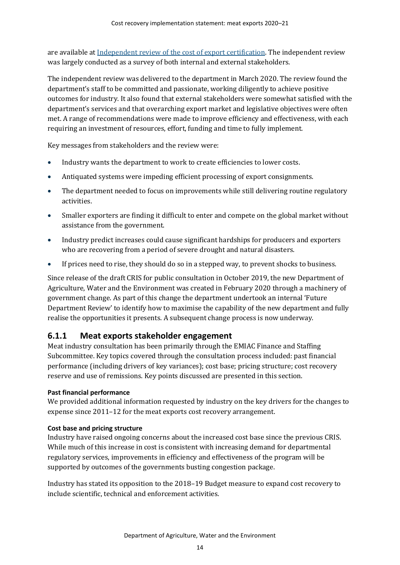are available a[t Independent review of the cost of export certification.](https://www.agriculture.gov.au/fees/cost-recovery/independent-review-cost-export-certification) The independent review was largely conducted as a survey of both internal and external stakeholders.

The independent review was delivered to the department in March 2020. The review found the department's staff to be committed and passionate, working diligently to achieve positive outcomes for industry. It also found that external stakeholders were somewhat satisfied with the department's services and that overarching export market and legislative objectives were often met. A range of recommendations were made to improve efficiency and effectiveness, with each requiring an investment of resources, effort, funding and time to fully implement.

Key messages from stakeholders and the review were:

- Industry wants the department to work to create efficiencies to lower costs.
- Antiquated systems were impeding efficient processing of export consignments.
- The department needed to focus on improvements while still delivering routine regulatory activities.
- Smaller exporters are finding it difficult to enter and compete on the global market without assistance from the government.
- Industry predict increases could cause significant hardships for producers and exporters who are recovering from a period of severe drought and natural disasters.
- If prices need to rise, they should do so in a stepped way, to prevent shocks to business.

Since release of the draft CRIS for public consultation in October 2019, the new Department of Agriculture, Water and the Environment was created in February 2020 through a machinery of government change. As part of this change the department undertook an internal 'Future Department Review' to identify how to maximise the capability of the new department and fully realise the opportunities it presents. A subsequent change process is now underway.

#### **6.1.1 Meat exports stakeholder engagement**

Meat industry consultation has been primarily through the EMIAC Finance and Staffing Subcommittee. Key topics covered through the consultation process included: past financial performance (including drivers of key variances); cost base; pricing structure; cost recovery reserve and use of remissions. Key points discussed are presented in this section.

#### **Past financial performance**

We provided additional information requested by industry on the key drivers for the changes to expense since 2011–12 for the meat exports cost recovery arrangement.

#### **Cost base and pricing structure**

Industry have raised ongoing concerns about the increased cost base since the previous CRIS. While much of this increase in cost is consistent with increasing demand for departmental regulatory services, improvements in efficiency and effectiveness of the program will be supported by outcomes of the governments busting congestion package.

Industry has stated its opposition to the 2018–19 Budget measure to expand cost recovery to include scientific, technical and enforcement activities.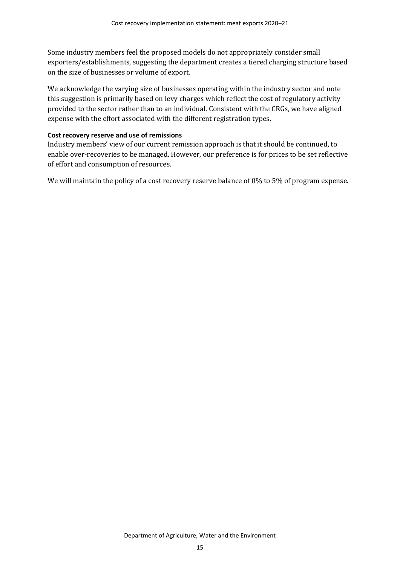Some industry members feel the proposed models do not appropriately consider small exporters/establishments, suggesting the department creates a tiered charging structure based on the size of businesses or volume of export.

We acknowledge the varying size of businesses operating within the industry sector and note this suggestion is primarily based on levy charges which reflect the cost of regulatory activity provided to the sector rather than to an individual. Consistent with the CRGs, we have aligned expense with the effort associated with the different registration types.

#### **Cost recovery reserve and use of remissions**

Industry members' view of our current remission approach is that it should be continued, to enable over-recoveries to be managed. However, our preference is for prices to be set reflective of effort and consumption of resources.

We will maintain the policy of a cost recovery reserve balance of 0% to 5% of program expense.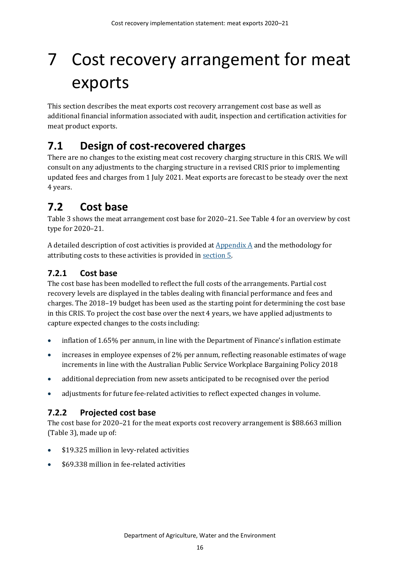# <span id="page-21-0"></span>7 Cost recovery arrangement for meat exports

This section describes the meat exports cost recovery arrangement cost base as well as additional financial information associated with audit, inspection and certification activities for meat product exports.

## <span id="page-21-1"></span>**7.1 Design of cost-recovered charges**

There are no changes to the existing meat cost recovery charging structure in this CRIS. We will consult on any adjustments to the charging structure in a revised CRIS prior to implementing updated fees and charges from 1 July 2021. Meat exports are forecast to be steady over the next 4 years.

## <span id="page-21-2"></span>**7.2 Cost base**

[Table 3](#page-22-0) shows the meat arrangement cost base for 2020–21. Se[e Table 4](#page-22-1) for an overview by cost type for 2020–21.

A detailed description of cost activities is provided at  $\Delta p$  and the methodology for attributing costs to these activities is provided in [section 5.](#page-15-0)

### **7.2.1 Cost base**

The cost base has been modelled to reflect the full costs of the arrangements. Partial cost recovery levels are displayed in the tables dealing with financial performance and fees and charges. The 2018–19 budget has been used as the starting point for determining the cost base in this CRIS. To project the cost base over the next 4 years, we have applied adjustments to capture expected changes to the costs including:

- inflation of 1.65% per annum, in line with the Department of Finance's inflation estimate
- increases in employee expenses of 2% per annum, reflecting reasonable estimates of wage increments in line with the Australian Public Service Workplace Bargaining Policy 2018
- additional depreciation from new assets anticipated to be recognised over the period
- adjustments for future fee-related activities to reflect expected changes in volume.

### **7.2.2 Projected cost base**

The cost base for 2020–21 for the meat exports cost recovery arrangement is \$88.663 million [\(Table 3\)](#page-22-0), made up of:

- \$19.325 million in levy-related activities
- \$69.338 million in fee-related activities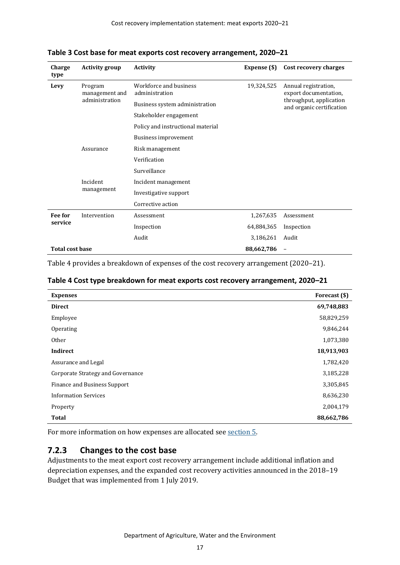| Charge<br>type         | <b>Activity group</b>                       | <b>Activity</b>                          | Expense (\$) | Cost recovery charges                                |
|------------------------|---------------------------------------------|------------------------------------------|--------------|------------------------------------------------------|
| Levy                   | Program<br>management and<br>administration | Workforce and business<br>administration | 19,324,525   | Annual registration,<br>export documentation,        |
|                        |                                             | Business system administration           |              | throughput, application<br>and organic certification |
|                        |                                             | Stakeholder engagement                   |              |                                                      |
|                        |                                             | Policy and instructional material        |              |                                                      |
|                        |                                             | Business improvement                     |              |                                                      |
|                        | Assurance                                   | Risk management                          |              |                                                      |
|                        |                                             | Verification                             |              |                                                      |
|                        |                                             | Surveillance                             |              |                                                      |
|                        | Incident<br>management                      | Incident management                      |              |                                                      |
|                        |                                             | Investigative support                    |              |                                                      |
|                        |                                             | Corrective action                        |              |                                                      |
| Fee for                | Intervention                                | Assessment                               | 1,267,635    | Assessment                                           |
| service                |                                             | Inspection                               | 64,884,365   | Inspection                                           |
|                        |                                             | Audit                                    | 3,186,261    | Audit                                                |
| <b>Total cost base</b> |                                             |                                          | 88,662,786   |                                                      |

<span id="page-22-0"></span>**Table 3 Cost base for meat exports cost recovery arrangement, 2020–21**

[Table 4](#page-22-1) provides a breakdown of expenses of the cost recovery arrangement (2020–21).

<span id="page-22-1"></span>

|  | Table 4 Cost type breakdown for meat exports cost recovery arrangement, 2020-21 |  |
|--|---------------------------------------------------------------------------------|--|
|--|---------------------------------------------------------------------------------|--|

| <b>Expenses</b>                   | Forecast (\$) |
|-----------------------------------|---------------|
| <b>Direct</b>                     | 69,748,883    |
| Employee                          | 58,829,259    |
| Operating                         | 9,846,244     |
| <b>Other</b>                      | 1,073,380     |
| Indirect                          | 18,913,903    |
| Assurance and Legal               | 1,782,420     |
| Corporate Strategy and Governance | 3,185,228     |
| Finance and Business Support      | 3,305,845     |
| <b>Information Services</b>       | 8,636,230     |
| Property                          | 2,004,179     |
| <b>Total</b>                      | 88,662,786    |

For more information on how expenses are allocated see [section](#page-15-0) 5.

#### **7.2.3 Changes to the cost base**

Adjustments to the meat export cost recovery arrangement include additional inflation and depreciation expenses, and the expanded cost recovery activities announced in the 2018–19 Budget that was implemented from 1 July 2019.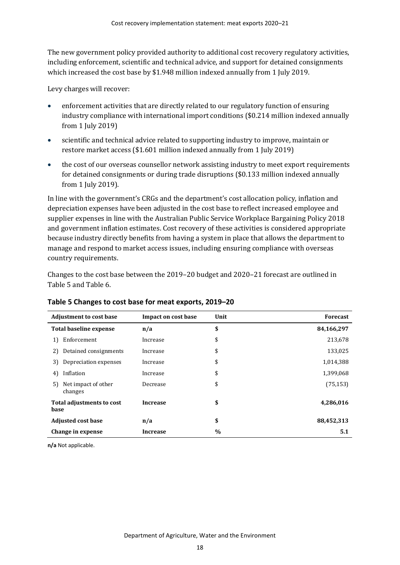The new government policy provided authority to additional cost recovery regulatory activities, including enforcement, scientific and technical advice, and support for detained consignments which increased the cost base by \$1.948 million indexed annually from 1 July 2019.

Levy charges will recover:

- enforcement activities that are directly related to our regulatory function of ensuring industry compliance with international import conditions (\$0.214 million indexed annually from 1 July 2019)
- scientific and technical advice related to supporting industry to improve, maintain or restore market access (\$1.601 million indexed annually from 1 July 2019)
- the cost of our overseas counsellor network assisting industry to meet export requirements for detained consignments or during trade disruptions (\$0.133 million indexed annually from 1 July 2019).

In line with the government's CRGs and the department's cost allocation policy, inflation and depreciation expenses have been adjusted in the cost base to reflect increased employee and supplier expenses in line with the Australian Public Service Workplace Bargaining Policy 2018 and government inflation estimates. Cost recovery of these activities is considered appropriate because industry directly benefits from having a system in place that allows the department to manage and respond to market access issues, including ensuring compliance with overseas country requirements.

Changes to the cost base between the 2019–20 budget and 2020–21 forecast are outlined in [Table 5](#page-23-0) and [Table 6.](#page-24-3)

| <b>Adjustment to cost base</b>       | Impact on cost base | Unit          | <b>Forecast</b> |
|--------------------------------------|---------------------|---------------|-----------------|
| Total baseline expense               | n/a                 | \$            | 84,166,297      |
| Enforcement<br>1)                    | Increase            | \$            | 213,678         |
| Detained consignments<br>2)          | Increase            | \$            | 133,025         |
| Depreciation expenses<br>3)          | Increase            | \$            | 1,014,388       |
| Inflation<br>4)                      | Increase            | \$            | 1,399,068       |
| Net impact of other<br>5)<br>changes | Decrease            | \$            | (75, 153)       |
| Total adjustments to cost<br>base    | <b>Increase</b>     | \$            | 4,286,016       |
| <b>Adjusted cost base</b>            | n/a                 | \$            | 88,452,313      |
| Change in expense                    | <b>Increase</b>     | $\frac{0}{0}$ | 5.1             |

#### <span id="page-23-0"></span>**Table 5 Changes to cost base for meat exports, 2019–20**

**n/a** Not applicable.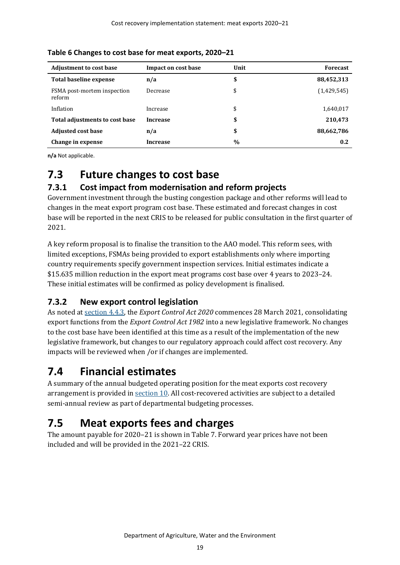| <b>Adjustment to cost base</b>        | Impact on cost base | Unit          | <b>Forecast</b> |
|---------------------------------------|---------------------|---------------|-----------------|
| Total baseline expense                | n/a                 | \$            | 88,452,313      |
| FSMA post-mortem inspection<br>reform | Decrease            | \$            | (1,429,545)     |
| Inflation                             | Increase            | \$            | 1,640,017       |
| Total adjustments to cost base        | <b>Increase</b>     | \$            | 210,473         |
| <b>Adjusted cost base</b>             | n/a                 | \$            | 88,662,786      |
| Change in expense                     | <b>Increase</b>     | $\frac{0}{0}$ | 0.2             |

#### <span id="page-24-3"></span>**Table 6 Changes to cost base for meat exports, 2020–21**

**n/a** Not applicable.

## <span id="page-24-0"></span>**7.3 Future changes to cost base**

#### **7.3.1 Cost impact from modernisation and reform projects**

<span id="page-24-4"></span>Government investment through the busting congestion package and other reforms will lead to changes in the meat export program cost base. These estimated and forecast changes in cost base will be reported in the next CRIS to be released for public consultation in the first quarter of 2021.

A key reform proposal is to finalise the transition to the AAO model. This reform sees, with limited exceptions, FSMAs being provided to export establishments only where importing country requirements specify government inspection services. Initial estimates indicate a \$15.635 million reduction in the export meat programs cost base over 4 years to 2023–24. These initial estimates will be confirmed as policy development is finalised.

### **7.3.2 New export control legislation**

As noted at [section 4.4.3,](#page-24-4) the *Export Control Act 2020* commences 28 March 2021, consolidating export functions from the *Export Control Act 1982* into a new legislative framework. No changes to the cost base have been identified at this time as a result of the implementation of the new legislative framework, but changes to our regulatory approach could affect cost recovery. Any impacts will be reviewed when /or if changes are implemented.

## <span id="page-24-1"></span>**7.4 Financial estimates**

A summary of the annual budgeted operating position for the meat exports cost recovery arrangement is provided in [section 10.](#page-28-0) All cost-recovered activities are subject to a detailed semi-annual review as part of departmental budgeting processes.

## <span id="page-24-2"></span>**7.5 Meat exports fees and charges**

The amount payable for 2020–21 is shown in [Table 7.](#page-25-0) Forward year prices have not been included and will be provided in the 2021–22 CRIS.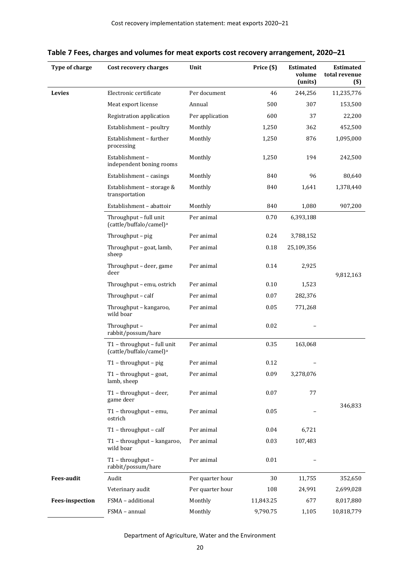| Type of charge         | Cost recovery charges                                              | Unit             | Price (\$) | <b>Estimated</b><br>volume<br>(units) | <b>Estimated</b><br>total revenue<br>$($)$ |
|------------------------|--------------------------------------------------------------------|------------------|------------|---------------------------------------|--------------------------------------------|
| Levies                 | Electronic certificate                                             | Per document     | 46         | 244,256                               | 11,235,776                                 |
|                        | Meat export license                                                | Annual           | 500        | 307                                   | 153,500                                    |
|                        | Registration application                                           | Per application  | 600        | 37                                    | 22,200                                     |
|                        | Establishment - poultry                                            | Monthly          | 1,250      | 362                                   | 452,500                                    |
|                        | Establishment - further<br>processing                              | Monthly          | 1,250      | 876                                   | 1,095,000                                  |
|                        | Establishment-<br>independent boning rooms                         | Monthly          | 1,250      | 194                                   | 242,500                                    |
|                        | Establishment - casings                                            | Monthly          | 840        | 96                                    | 80,640                                     |
|                        | Establishment - storage &<br>transportation                        | Monthly          | 840        | 1,641                                 | 1,378,440                                  |
|                        | Establishment - abattoir                                           | Monthly          | 840        | 1,080                                 | 907,200                                    |
|                        | Throughput - full unit<br>(cattle/buffalo/camel) <sup>a</sup>      | Per animal       | 0.70       | 6,393,188                             |                                            |
|                        | Throughput - pig                                                   | Per animal       | 0.24       | 3,788,152                             |                                            |
|                        | Throughput - goat, lamb,<br>sheep                                  | Per animal       | 0.18       | 25,109,356                            |                                            |
|                        | Throughput - deer, game<br>deer                                    | Per animal       | 0.14       | 2,925                                 | 9,812,163                                  |
|                        | Throughput - emu, ostrich                                          | Per animal       | 0.10       | 1,523                                 |                                            |
|                        | Throughput - calf                                                  | Per animal       | 0.07       | 282,376                               |                                            |
|                        | Throughput - kangaroo,<br>wild boar                                | Per animal       | 0.05       | 771,268                               |                                            |
|                        | Throughput-<br>rabbit/possum/hare                                  | Per animal       | 0.02       |                                       |                                            |
|                        | T1 - throughput - full unit<br>(cattle/buffalo/camel) <sup>a</sup> | Per animal       | 0.35       | 163,068                               |                                            |
|                        | T1 - throughput - pig                                              | Per animal       | 0.12       |                                       |                                            |
|                        | $T1$ – throughput – goat,<br>lamb, sheep                           | Per animal       | 0.09       | 3,278,076                             |                                            |
|                        | T1 - throughput - deer,<br>game deer                               | Per animal       | 0.07       | 77                                    | 346,833                                    |
|                        | T1 - throughput - emu,<br>ostrich                                  | Per animal       | 0.05       |                                       |                                            |
|                        | $T1$ - throughput - calf                                           | Per animal       | 0.04       | 6,721                                 |                                            |
|                        | T1 - throughput - kangaroo,<br>wild boar                           | Per animal       | 0.03       | 107,483                               |                                            |
|                        | T1 - throughput -<br>rabbit/possum/hare                            | Per animal       | 0.01       |                                       |                                            |
| <b>Fees-audit</b>      | Audit                                                              | Per quarter hour | 30         | 11,755                                | 352,650                                    |
|                        | Veterinary audit                                                   | Per quarter hour | 108        | 24,991                                | 2,699,028                                  |
| <b>Fees-inspection</b> | FSMA - additional                                                  | Monthly          | 11,843.25  | 677                                   | 8,017,880                                  |
|                        | FSMA - annual                                                      | Monthly          | 9,790.75   | 1,105                                 | 10,818,779                                 |

<span id="page-25-0"></span>

| Table 7 Fees, charges and volumes for meat exports cost recovery arrangement, 2020–21 |  |  |
|---------------------------------------------------------------------------------------|--|--|
|---------------------------------------------------------------------------------------|--|--|

Department of Agriculture, Water and the Environment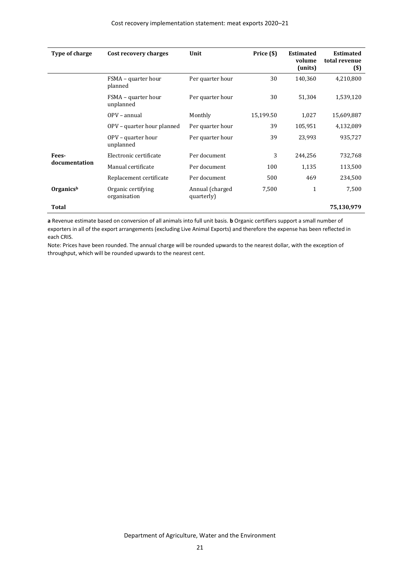| Type of charge | Cost recovery charges              | Unit                           | Price (\$) | <b>Estimated</b><br>volume<br>(units) | <b>Estimated</b><br>total revenue<br>$($)$ |
|----------------|------------------------------------|--------------------------------|------------|---------------------------------------|--------------------------------------------|
|                | FSMA – quarter hour<br>planned     | Per quarter hour               | 30         | 140,360                               | 4,210,800                                  |
|                | FSMA – quarter hour<br>unplanned   | Per quarter hour               | 30         | 51,304                                | 1,539,120                                  |
|                | OPV - annual                       | Monthly                        | 15,199.50  | 1,027                                 | 15,609,887                                 |
|                | OPV – quarter hour planned         | Per quarter hour               | 39         | 105,951                               | 4,132,089                                  |
|                | OPV – quarter hour<br>unplanned    | Per quarter hour               | 39         | 23,993                                | 935,727                                    |
| Fees-          | Electronic certificate             | Per document                   | 3          | 244,256                               | 732,768                                    |
| documentation  | Manual certificate                 | Per document                   | 100        | 1,135                                 | 113,500                                    |
|                | Replacement certificate            | Per document                   | 500        | 469                                   | 234,500                                    |
| Organicsb      | Organic certifying<br>organisation | Annual (charged)<br>quarterly) | 7,500      | $\mathbf{1}$                          | 7,500                                      |
| Total          |                                    |                                |            |                                       | 75,130,979                                 |

**a** Revenue estimate based on conversion of all animals into full unit basis. **b** Organic certifiers support a small number of exporters in all of the export arrangements (excluding Live Animal Exports) and therefore the expense has been reflected in each CRIS.

Note: Prices have been rounded. The annual charge will be rounded upwards to the nearest dollar, with the exception of throughput, which will be rounded upwards to the nearest cent.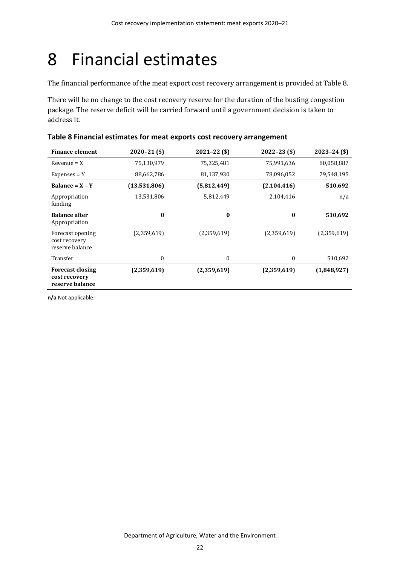# <span id="page-27-0"></span>8 Financial estimates

The financial performance of the meat export cost recovery arrangement is provided a[t Table 8.](#page-27-1)

There will be no change to the cost recovery reserve for the duration of the busting congestion package. The reserve deficit will be carried forward until a government decision is taken to address it.

| <b>Finance element</b>                                      | $2020 - 21$ (\$) | $2021 - 22($ \$) | $2022 - 23$ (\$) | $2023 - 24$ (\$) |
|-------------------------------------------------------------|------------------|------------------|------------------|------------------|
| $Revenue = X$                                               | 75,130,979       | 75,325,481       | 75,991,636       | 80,058,887       |
| $Expenses = Y$                                              | 88,662,786       | 81,137,930       | 78,096,052       | 79,548,195       |
| Balance = $X - Y$                                           | (13,531,806)     | (5,812,449)      | (2,104,416)      | 510,692          |
| Appropriation<br>funding                                    | 13,531,806       | 5,812,449        | 2,104,416        | n/a              |
| <b>Balance after</b><br>Appropriation                       | $\bf{0}$         | $\bf{0}$         | $\bf{0}$         | 510,692          |
| Forecast opening<br>cost recovery<br>reserve balance        | (2,359,619)      | (2,359,619)      | (2,359,619)      | (2,359,619)      |
| Transfer                                                    | 0                | 0                | 0                | 510,692          |
| <b>Forecast closing</b><br>cost recovery<br>reserve balance | (2,359,619)      | (2,359,619)      | (2,359,619)      | (1,848,927)      |

<span id="page-27-1"></span>

|  |  | Table 8 Financial estimates for meat exports cost recovery arrangement |
|--|--|------------------------------------------------------------------------|
|--|--|------------------------------------------------------------------------|

**n/a** Not applicable.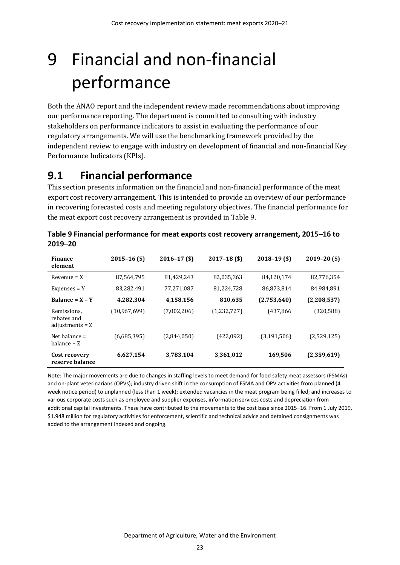# <span id="page-28-0"></span>9 Financial and non-financial performance

Both the ANAO report and the independent review made recommendations about improving our performance reporting. The department is committed to consulting with industry stakeholders on performance indicators to assist in evaluating the performance of our regulatory arrangements. We will use the benchmarking framework provided by the independent review to engage with industry on development of financial and non-financial Key Performance Indicators (KPIs).

# <span id="page-28-1"></span>**9.1 Financial performance**

This section presents information on the financial and non-financial performance of the meat export cost recovery arrangement. This is intended to provide an overview of our performance in recovering forecasted costs and meeting regulatory objectives. The financial performance for the meat export cost recovery arrangement is provided in [Table 9.](#page-28-2)

| <b>Finance</b><br>element                       | $2015 - 16$ (\$) | $2016 - 17$ (\$) | $2017 - 18$ (\$) | $2018 - 19$ (\$) | $2019 - 20$ (\$) |
|-------------------------------------------------|------------------|------------------|------------------|------------------|------------------|
| $Revenue = X$                                   | 87,564,795       | 81,429,243       | 82,035,363       | 84,120,174       | 82,776,354       |
| $Expenses = Y$                                  | 83,282,491       | 77,271,087       | 81,224,728       | 86,873,814       | 84,984,891       |
| Balance = $X - Y$                               | 4,282,304        | 4,158,156        | 810,635          | (2,753,640)      | (2,208,537)      |
| Remissions,<br>rebates and<br>adjustments $= Z$ | (10,967,699)     | (7,002,206)      | (1,232,727)      | (437,866)        | (320,588)        |
| Net balance $=$<br>balance $+Z$                 | (6,685,395)      | (2,844,050)      | (422,092)        | (3, 191, 506)    | (2,529,125)      |
| Cost recovery<br>reserve balance                | 6,627,154        | 3,783,104        | 3,361,012        | 169,506          | (2,359,619)      |

<span id="page-28-2"></span>

| Table 9 Financial performance for meat exports cost recovery arrangement, 2015-16 to |  |
|--------------------------------------------------------------------------------------|--|
| 2019-20                                                                              |  |

Note: The major movements are due to changes in staffing levels to meet demand for food safety meat assessors (FSMAs) and on-plant veterinarians (OPVs); industry driven shift in the consumption of FSMA and OPV activities from planned (4 week notice period) to unplanned (less than 1 week); extended vacancies in the meat program being filled; and increases to various corporate costs such as employee and supplier expenses, information services costs and depreciation from additional capital investments. These have contributed to the movements to the cost base since 2015–16. From 1 July 2019, \$1.948 million for regulatory activities for enforcement, scientific and technical advice and detained consignments was added to the arrangement indexed and ongoing.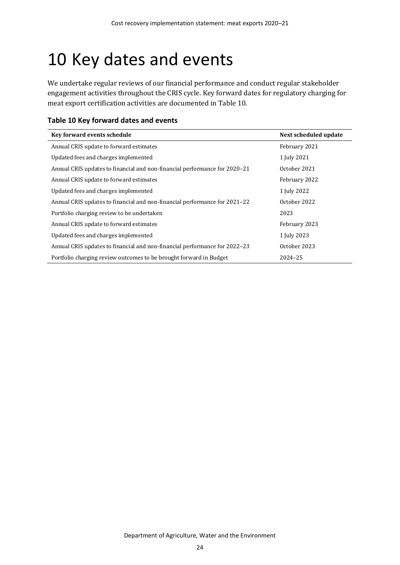# <span id="page-29-0"></span>10 Key dates and events

We undertake regular reviews of our financial performance and conduct regular stakeholder engagement activities throughout the CRIS cycle. Key forward dates for regulatory charging for meat export certification activities are documented in [Table 10.](#page-29-1)

<span id="page-29-1"></span>

| Table 10 Key forward dates and events |  |  |  |
|---------------------------------------|--|--|--|
|---------------------------------------|--|--|--|

| Key forward events schedule                                                | Next scheduled update |
|----------------------------------------------------------------------------|-----------------------|
| Annual CRIS update to forward estimates                                    | February 2021         |
| Updated fees and charges implemented                                       | 1 July 2021           |
| Annual CRIS updates to financial and non-financial performance for 2020–21 | October 2021          |
| Annual CRIS update to forward estimates                                    | February 2022         |
| Updated fees and charges implemented                                       | 1 July 2022           |
| Annual CRIS updates to financial and non-financial performance for 2021–22 | October 2022          |
| Portfolio charging review to be undertaken                                 | 2023                  |
| Annual CRIS update to forward estimates                                    | February 2023         |
| Updated fees and charges implemented                                       | 1 July 2023           |
| Annual CRIS updates to financial and non-financial performance for 2022–23 | October 2023          |
| Portfolio charging review outcomes to be brought forward in Budget         | 2024-25               |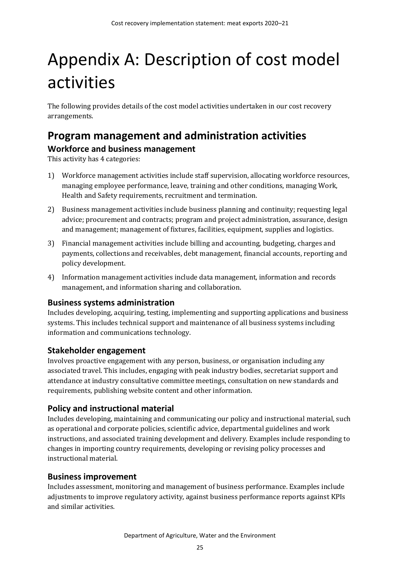# <span id="page-30-0"></span>Appendix A: Description of cost model activities

The following provides details of the cost model activities undertaken in our cost recovery arrangements.

### <span id="page-30-1"></span>**Program management and administration activities Workforce and business management**

This activity has 4 categories:

- 1) Workforce management activities include staff supervision, allocating workforce resources, managing employee performance, leave, training and other conditions, managing Work, Health and Safety requirements, recruitment and termination.
- 2) Business management activities include business planning and continuity; requesting legal advice; procurement and contracts; program and project administration, assurance, design and management; management of fixtures, facilities, equipment, supplies and logistics.
- 3) Financial management activities include billing and accounting, budgeting, charges and payments, collections and receivables, debt management, financial accounts, reporting and policy development.
- 4) Information management activities include data management, information and records management, and information sharing and collaboration.

#### **Business systems administration**

Includes developing, acquiring, testing, implementing and supporting applications and business systems. This includes technical support and maintenance of all business systems including information and communications technology.

#### **Stakeholder engagement**

Involves proactive engagement with any person, business, or organisation including any associated travel. This includes, engaging with peak industry bodies, secretariat support and attendance at industry consultative committee meetings, consultation on new standards and requirements, publishing website content and other information.

#### **Policy and instructional material**

Includes developing, maintaining and communicating our policy and instructional material, such as operational and corporate policies, scientific advice, departmental guidelines and work instructions, and associated training development and delivery. Examples include responding to changes in importing country requirements, developing or revising policy processes and instructional material.

#### **Business improvement**

Includes assessment, monitoring and management of business performance. Examples include adjustments to improve regulatory activity, against business performance reports against KPIs and similar activities.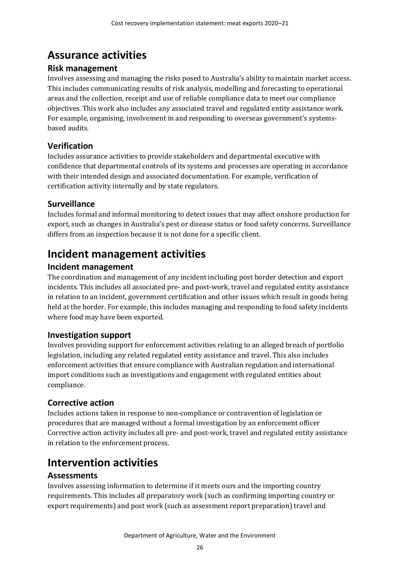## <span id="page-31-0"></span>**Assurance activities**

#### **Risk management**

Involves assessing and managing the risks posed to Australia's ability to maintain market access. This includes communicating results of risk analysis, modelling and forecasting to operational areas and the collection, receipt and use of reliable compliance data to meet our compliance objectives. This work also includes any associated travel and regulated entity assistance work. For example, organising, involvement in and responding to overseas government's systemsbased audits.

### **Verification**

Includes assurance activities to provide stakeholders and departmental executive with confidence that departmental controls of its systems and processes are operating in accordance with their intended design and associated documentation. For example, verification of certification activity internally and by state regulators.

### **Surveillance**

Includes formal and informal monitoring to detect issues that may affect onshore production for export, such as changes in Australia's pest or disease status or food safety concerns. Surveillance differs from an inspection because it is not done for a specific client.

## <span id="page-31-1"></span>**Incident management activities**

### **Incident management**

The coordination and management of any incident including post border detection and export incidents. This includes all associated pre- and post-work, travel and regulated entity assistance in relation to an incident, government certification and other issues which result in goods being held at the border. For example, this includes managing and responding to food safety incidents where food may have been exported.

### **Investigation support**

Involves providing support for enforcement activities relating to an alleged breach of portfolio legislation, including any related regulated entity assistance and travel. This also includes enforcement activities that ensure compliance with Australian regulation and international import conditions such as investigations and engagement with regulated entities about compliance.

### **Corrective action**

Includes actions taken in response to non-compliance or contravention of legislation or procedures that are managed without a formal investigation by an enforcement officer Corrective action activity includes all pre- and post-work, travel and regulated entity assistance in relation to the enforcement process.

## <span id="page-31-2"></span>**Intervention activities**

### **Assessments**

Involves assessing information to determine if it meets ours and the importing country requirements. This includes all preparatory work (such as confirming importing country or export requirements) and post work (such as assessment report preparation) travel and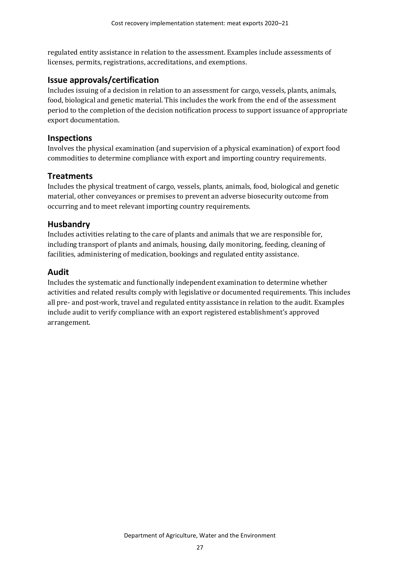regulated entity assistance in relation to the assessment. Examples include assessments of licenses, permits, registrations, accreditations, and exemptions.

#### **Issue approvals/certification**

Includes issuing of a decision in relation to an assessment for cargo, vessels, plants, animals, food, biological and genetic material. This includes the work from the end of the assessment period to the completion of the decision notification process to support issuance of appropriate export documentation.

#### **Inspections**

Involves the physical examination (and supervision of a physical examination) of export food commodities to determine compliance with export and importing country requirements.

#### **Treatments**

Includes the physical treatment of cargo, vessels, plants, animals, food, biological and genetic material, other conveyances or premises to prevent an adverse biosecurity outcome from occurring and to meet relevant importing country requirements.

#### **Husbandry**

Includes activities relating to the care of plants and animals that we are responsible for, including transport of plants and animals, housing, daily monitoring, feeding, cleaning of facilities, administering of medication, bookings and regulated entity assistance.

#### **Audit**

Includes the systematic and functionally independent examination to determine whether activities and related results comply with legislative or documented requirements. This includes all pre- and post-work, travel and regulated entity assistance in relation to the audit. Examples include audit to verify compliance with an export registered establishment's approved arrangement.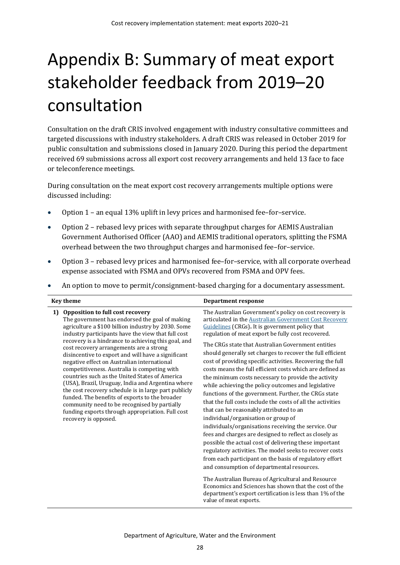# <span id="page-33-0"></span>Appendix B: Summary of meat export stakeholder feedback from 2019–20 consultation

Consultation on the draft CRIS involved engagement with industry consultative committees and targeted discussions with industry stakeholders. A draft CRIS was released in October 2019 for public consultation and submissions closed in January 2020. During this period the department received 69 submissions across all export cost recovery arrangements and held 13 face to face or teleconference meetings.

During consultation on the meat export cost recovery arrangements multiple options were discussed including:

- Option 1 an equal 13% uplift in levy prices and harmonised fee–for–service.
- Option 2 rebased levy prices with separate throughput charges for AEMIS Australian Government Authorised Officer (AAO) and AEMIS traditional operators, splitting the FSMA overhead between the two throughput charges and harmonised fee–for–service.
- Option 3 rebased levy prices and harmonised fee–for–service, with all corporate overhead expense associated with FSMA and OPVs recovered from FSMA and OPV fees.
- An option to move to permit/consignment-based charging for a documentary assessment.

| The Australian Government's policy on cost recovery is<br>Opposition to full cost recovery<br>1)<br>The government has endorsed the goal of making<br>articulated in the Australian Government Cost Recovery<br>agriculture a \$100 billion industry by 2030. Some<br>Guidelines (CRGs). It is government policy that<br>regulation of meat export be fully cost recovered.<br>industry participants have the view that full cost<br>recovery is a hindrance to achieving this goal, and<br>The CRGs state that Australian Government entities<br>cost recovery arrangements are a strong<br>should generally set charges to recover the full efficient<br>disincentive to export and will have a significant<br>cost of providing specific activities. Recovering the full<br>negative effect on Australian international<br>competitiveness. Australia is competing with<br>costs means the full efficient costs which are defined as<br>countries such as the United States of America<br>the minimum costs necessary to provide the activity<br>(USA), Brazil, Uruguay, India and Argentina where<br>while achieving the policy outcomes and legislative<br>the cost recovery schedule is in large part publicly<br>functions of the government. Further, the CRGs state<br>funded. The benefits of exports to the broader<br>that the full costs include the costs of all the activities<br>community need to be recognised by partially<br>that can be reasonably attributed to an<br>funding exports through appropriation. Full cost<br>individual/organisation or group of<br>recovery is opposed.<br>individuals/organisations receiving the service. Our<br>fees and charges are designed to reflect as closely as<br>possible the actual cost of delivering these important<br>regulatory activities. The model seeks to recover costs<br>from each participant on the basis of regulatory effort<br>and consumption of departmental resources.<br>The Australian Bureau of Agricultural and Resource<br>Economics and Sciences has shown that the cost of the | <b>Key theme</b> | <b>Department response</b>                               |
|----------------------------------------------------------------------------------------------------------------------------------------------------------------------------------------------------------------------------------------------------------------------------------------------------------------------------------------------------------------------------------------------------------------------------------------------------------------------------------------------------------------------------------------------------------------------------------------------------------------------------------------------------------------------------------------------------------------------------------------------------------------------------------------------------------------------------------------------------------------------------------------------------------------------------------------------------------------------------------------------------------------------------------------------------------------------------------------------------------------------------------------------------------------------------------------------------------------------------------------------------------------------------------------------------------------------------------------------------------------------------------------------------------------------------------------------------------------------------------------------------------------------------------------------------------------------------------------------------------------------------------------------------------------------------------------------------------------------------------------------------------------------------------------------------------------------------------------------------------------------------------------------------------------------------------------------------------------------------------------------------------------------------------------------------------------------------|------------------|----------------------------------------------------------|
| value of meat exports.                                                                                                                                                                                                                                                                                                                                                                                                                                                                                                                                                                                                                                                                                                                                                                                                                                                                                                                                                                                                                                                                                                                                                                                                                                                                                                                                                                                                                                                                                                                                                                                                                                                                                                                                                                                                                                                                                                                                                                                                                                                     |                  | department's export certification is less than 1% of the |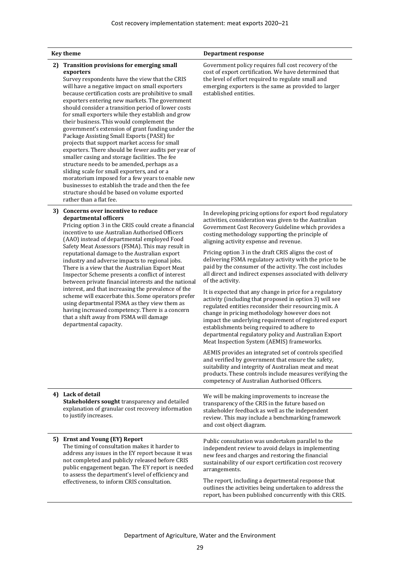| <b>Key theme</b> |                                                                                                                                                                                                                                                                                                                                                                                                                                                                                                                                                                                                                                                                                                                                                                                                                                                                                                                                                                                    | <b>Department response</b>                                                                                                                                                                                                                                                                                                                                                                                                                                                                                                                                                                                                                                                                                                                                                                                                                                                                                                                                                                                                                                                                                                                                                                                                                                                  |
|------------------|------------------------------------------------------------------------------------------------------------------------------------------------------------------------------------------------------------------------------------------------------------------------------------------------------------------------------------------------------------------------------------------------------------------------------------------------------------------------------------------------------------------------------------------------------------------------------------------------------------------------------------------------------------------------------------------------------------------------------------------------------------------------------------------------------------------------------------------------------------------------------------------------------------------------------------------------------------------------------------|-----------------------------------------------------------------------------------------------------------------------------------------------------------------------------------------------------------------------------------------------------------------------------------------------------------------------------------------------------------------------------------------------------------------------------------------------------------------------------------------------------------------------------------------------------------------------------------------------------------------------------------------------------------------------------------------------------------------------------------------------------------------------------------------------------------------------------------------------------------------------------------------------------------------------------------------------------------------------------------------------------------------------------------------------------------------------------------------------------------------------------------------------------------------------------------------------------------------------------------------------------------------------------|
| 2)               | <b>Transition provisions for emerging small</b><br>exporters<br>Survey respondents have the view that the CRIS<br>will have a negative impact on small exporters<br>because certification costs are prohibitive to small<br>exporters entering new markets. The government<br>should consider a transition period of lower costs<br>for small exporters while they establish and grow<br>their business. This would complement the<br>government's extension of grant funding under the<br>Package Assisting Small Exports (PASE) for<br>projects that support market access for small<br>exporters. There should be fewer audits per year of<br>smaller casing and storage facilities. The fee<br>structure needs to be amended, perhaps as a<br>sliding scale for small exporters, and or a<br>moratorium imposed for a few years to enable new<br>businesses to establish the trade and then the fee<br>structure should be based on volume exported<br>rather than a flat fee. | Government policy requires full cost recovery of the<br>cost of export certification. We have determined that<br>the level of effort required to regulate small and<br>emerging exporters is the same as provided to larger<br>established entities.                                                                                                                                                                                                                                                                                                                                                                                                                                                                                                                                                                                                                                                                                                                                                                                                                                                                                                                                                                                                                        |
|                  | 3) Concerns over incentive to reduce<br>departmental officers<br>Pricing option 3 in the CRIS could create a financial<br>incentive to use Australian Authorised Officers<br>(AAO) instead of departmental employed Food<br>Safety Meat Assessors (FSMA). This may result in<br>reputational damage to the Australian export<br>industry and adverse impacts to regional jobs.<br>There is a view that the Australian Export Meat<br>Inspector Scheme presents a conflict of interest<br>between private financial interests and the national<br>interest, and that increasing the prevalence of the<br>scheme will exacerbate this. Some operators prefer<br>using departmental FSMA as they view them as<br>having increased competency. There is a concern<br>that a shift away from FSMA will damage<br>departmental capacity.                                                                                                                                                 | In developing pricing options for export food regulatory<br>activities, consideration was given to the Australian<br>Government Cost Recovery Guideline which provides a<br>costing methodology supporting the principle of<br>aligning activity expense and revenue.<br>Pricing option 3 in the draft CRIS aligns the cost of<br>delivering FSMA regulatory activity with the price to be<br>paid by the consumer of the activity. The cost includes<br>all direct and indirect expenses associated with delivery<br>of the activity.<br>It is expected that any change in price for a regulatory<br>activity (including that proposed in option 3) will see<br>regulated entities reconsider their resourcing mix. A<br>change in pricing methodology however does not<br>impact the underlying requirement of registered export<br>establishments being required to adhere to<br>departmental regulatory policy and Australian Export<br>Meat Inspection System (AEMIS) frameworks.<br>AEMIS provides an integrated set of controls specified<br>and verified by government that ensure the safety,<br>suitability and integrity of Australian meat and meat<br>products. These controls include measures verifying the<br>competency of Australian Authorised Officers. |
|                  | 4) Lack of detail<br>Stakeholders sought transparency and detailed<br>explanation of granular cost recovery information<br>to justify increases.                                                                                                                                                                                                                                                                                                                                                                                                                                                                                                                                                                                                                                                                                                                                                                                                                                   | We will be making improvements to increase the<br>transparency of the CRIS in the future based on<br>stakeholder feedback as well as the independent<br>review. This may include a benchmarking framework<br>and cost object diagram.                                                                                                                                                                                                                                                                                                                                                                                                                                                                                                                                                                                                                                                                                                                                                                                                                                                                                                                                                                                                                                       |
|                  | 5) Ernst and Young (EY) Report<br>The timing of consultation makes it harder to<br>address any issues in the EY report because it was<br>not completed and publicly released before CRIS<br>public engagement began. The EY report is needed<br>to assess the department's level of efficiency and<br>effectiveness, to inform CRIS consultation.                                                                                                                                                                                                                                                                                                                                                                                                                                                                                                                                                                                                                                  | Public consultation was undertaken parallel to the<br>independent review to avoid delays in implementing<br>new fees and charges and restoring the financial<br>sustainability of our export certification cost recovery<br>arrangements.<br>The report, including a departmental response that<br>outlines the activities being undertaken to address the<br>report, has been published concurrently with this CRIS.                                                                                                                                                                                                                                                                                                                                                                                                                                                                                                                                                                                                                                                                                                                                                                                                                                                       |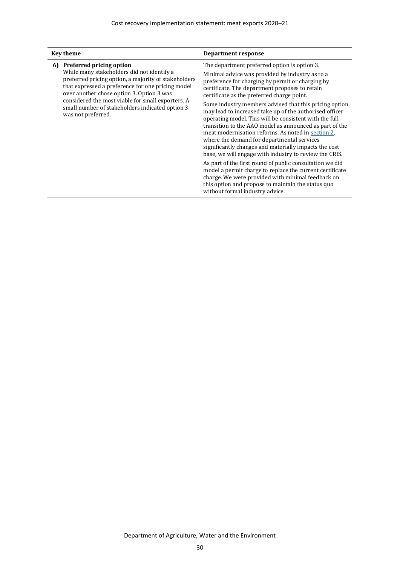| <b>Key theme</b>                                                                                                                                                                                                                                                                                                                                                            | Department response                                                                                                                                                                                                                                                                                                                                                                                                                                                                                                                                                                                                                                                                                                                                                                                                                                                                                                                                                                        |
|-----------------------------------------------------------------------------------------------------------------------------------------------------------------------------------------------------------------------------------------------------------------------------------------------------------------------------------------------------------------------------|--------------------------------------------------------------------------------------------------------------------------------------------------------------------------------------------------------------------------------------------------------------------------------------------------------------------------------------------------------------------------------------------------------------------------------------------------------------------------------------------------------------------------------------------------------------------------------------------------------------------------------------------------------------------------------------------------------------------------------------------------------------------------------------------------------------------------------------------------------------------------------------------------------------------------------------------------------------------------------------------|
| <b>Preferred pricing option</b><br>6)<br>While many stakeholders did not identify a<br>preferred pricing option, a majority of stakeholders<br>that expressed a preference for one pricing model<br>over another chose option 3. Option 3 was<br>considered the most viable for small exporters. A<br>small number of stakeholders indicated option 3<br>was not preferred. | The department preferred option is option 3.<br>Minimal advice was provided by industry as to a<br>preference for charging by permit or charging by<br>certificate. The department proposes to retain<br>certificate as the preferred charge point.<br>Some industry members advised that this pricing option<br>may lead to increased take up of the authorised officer<br>operating model. This will be consistent with the full<br>transition to the AAO model as announced as part of the<br>meat modernisation reforms. As noted in section 2.<br>where the demand for departmental services<br>significantly changes and materially impacts the cost<br>base, we will engage with industry to review the CRIS.<br>As part of the first round of public consultation we did<br>model a permit charge to replace the current certificate<br>charge. We were provided with minimal feedback on<br>this option and propose to maintain the status quo<br>without formal industry advice. |